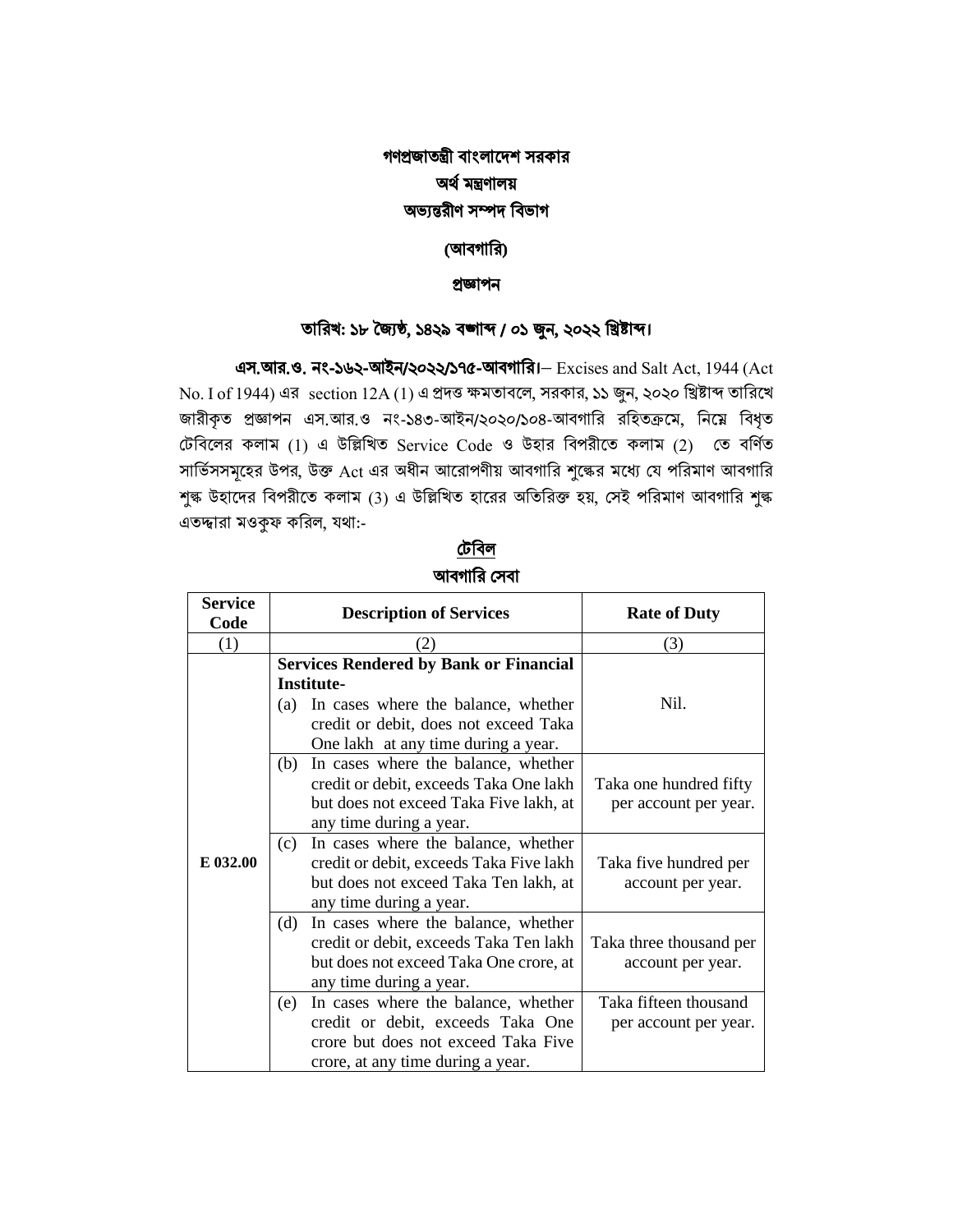## গণপ্রজাতন্ত্রী বাংলাদেশ সরকার অর্ থমন্ত্রণালয় অভ্যন্তরীণ সম্পে ববভ্াগ

### (আবগারি)

#### প্রজ্ঞাপন

### তাবরখ: ১৮ জ্যৈষ্ঠ, ১৪২৯ বঙ্গাব্দ / ০১ জুন, ২০২২ বিষ্টাব্দ।

এস.আর.ও. নং-১৬২-আইন/২০২২/১৭৫-আবগারর।− Excises and Salt Act, 1944 (Act  $N$ o. I of 1944) এর section 12A (1) এ প্রদত্ত ক্ষমতাবলে, সরকার, ১১ জুন, ২০২০ খ্রিষ্টাব্দ তারিখে জারীকৃত প্রজ্ঞাপন এস.আর.ও নং-১৪৩-আইন/২০২০/১০৪-আবগারি রহিতক্রমে, নিম্নে বিধৃত টেবিলের কলাম (1) এ উল্লিখিত Service Code ও উহার বিপরীতে কলাম (2) তে বর্ণিত সার্ভিসসমূহের উপর, উক্ত Act এর অধীন আরোপণীয় আবগারি শুল্কের মধ্যে যে পরিমাণ আবগারি শুল্ক উহাদের বিপরীতে কলাম (3) এ উল্লিখিত হারের অতিরিক্ত হয়, সেই পরিমাণ আবগারি শুল্ক এতদ্দ্বারা মওকুফ করিল, যথা:-

## টেববল আবগারি সেবা

| <b>Service</b><br>Code | <b>Description of Services</b> |                                               | <b>Rate of Duty</b>     |
|------------------------|--------------------------------|-----------------------------------------------|-------------------------|
| (1)                    |                                | (2)                                           | (3)                     |
|                        |                                | <b>Services Rendered by Bank or Financial</b> |                         |
|                        |                                | <b>Institute-</b>                             |                         |
|                        | (a)                            | In cases where the balance, whether           | Nil.                    |
|                        |                                | credit or debit, does not exceed Taka         |                         |
|                        |                                | One lakh at any time during a year.           |                         |
|                        | (b)                            | In cases where the balance, whether           |                         |
|                        |                                | credit or debit, exceeds Taka One lakh        | Taka one hundred fifty  |
|                        |                                | but does not exceed Taka Five lakh, at        | per account per year.   |
|                        |                                | any time during a year.                       |                         |
|                        | (c)                            | In cases where the balance, whether           |                         |
| E 032.00               |                                | credit or debit, exceeds Taka Five lakh       | Taka five hundred per   |
|                        |                                | but does not exceed Taka Ten lakh, at         | account per year.       |
|                        |                                | any time during a year.                       |                         |
|                        | (d)                            | In cases where the balance, whether           |                         |
|                        |                                | credit or debit, exceeds Taka Ten lakh        | Taka three thousand per |
|                        |                                | but does not exceed Taka One crore, at        | account per year.       |
|                        |                                | any time during a year.                       |                         |
|                        | (e)                            | In cases where the balance, whether           | Taka fifteen thousand   |
|                        |                                | credit or debit, exceeds Taka One             | per account per year.   |
|                        |                                | crore but does not exceed Taka Five           |                         |
|                        |                                | crore, at any time during a year.             |                         |